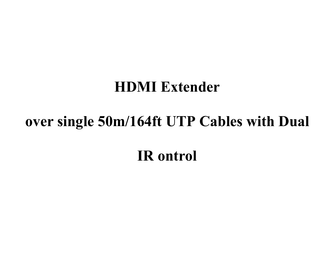# **HDMI Extender**

# **over single 50m/164ft UTP Cables with Dual**

**IR ontrol**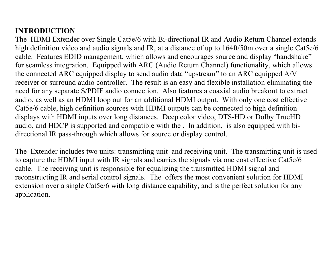# **INTRODUCTION**

The HDMI Extender over Single Cat5e/6 with Bi-directional IR and Audio Return Channel extends high definition video and audio signals and IR, at a distance of up to 164ft/50m over a single Cat5e/6 cable. Features EDID management, which allows and encourages source and display "handshake" for seamless integration. Equipped with ARC (Audio Return Channel) functionality, which allows the connected ARC equipped display to send audio data "upstream" to an ARC equipped A/V receiver or surround audio controller. The result is an easy and flexible installation eliminating the need for any separate S/PDIF audio connection. Also features a coaxialaudio breakout to extract audio, as well as an HDMI loop out for an additional HDMI output. With only one cost effective Cat5e/6 cable, high definition sources with HDMI outputs can beconnected to high definition displays with HDMI inputs over long distances. Deep color video, DTS-HD or Dolby TrueHD audio, and HDCP is supported and compatible with the . In addition, is also equipped with bi directional IR pass-through which allows for source or display control.

The Extender includes two units: transmitting unit and receiving unit. The transmitting unit is used to capture the HDMI input with IR signals and carries the signals via one cost effective Cat5e/6 cable. The receiving unit is responsible for equalizing the transmitted HDMI signal and reconstructing IR and serial control signals. The offers the most convenient solution for HDMI extension over a single Cat5e/6 with long distance capability, and is the perfect solution for any application.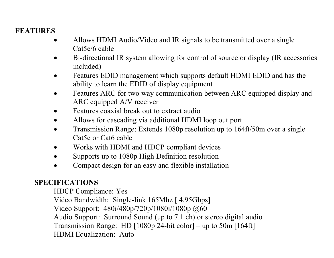# **FEATURES**

- Allows HDMI Audio/Video and IR signals to be transmitted over a single Cat5e/6 cable
- Bi-directional IR system allowing for control of source or display (IR accessories included)
- Features EDID management which supports default HDMI EDID and has the ability to learn the EDID of display equipment
- Features ARC for two way communication between ARC equipped display and ARC equipped A/V receiver
- **•** Features coaxial break out to extract audio
- Allows for cascading via additional HDMI loop out port
- Transmission Range: Extends 1080p resolution up to 164ft/50m over a single Cat5e or Cat6 cable
- Works with HDMI and HDCP compliant devices
- Supports up to 1080p High Definition resolution
- Compact design for an easy and flexible installation

# **SPECIFICATIONS**

HDCP Compliance: Yes

Video Bandwidth: Single-link 165Mhz [ 4.95Gbps]

Video Support: 480i/480p/720p/1080i/1080p @60

Audio Support: Surround Sound (up to 7.1 ch) or stereo digital audio

Transmission Range: HD [1080p 24-bit color] – up to 50m [164ft]

HDMI Equalization: Auto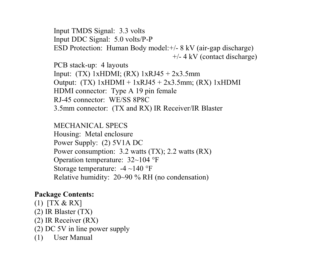Input TMDS Signal: 3.3 volts Input DDC Signal: 5.0 volts/P-P ESD Protection: Human Body model:+/- 8 kV (air-gap discharge) +/- 4 kV (contact discharge)

PCB stack-up: 4 layouts Input: (TX) 1xHDMI; (RX) 1xRJ45 + 2x3.5mm Output:  $(TX)$  1xHDMI + 1xRJ45 + 2x3.5mm;  $(RX)$  1xHDMI HDMI connector: Type A 19 pin female RJ-45 connector: WE/SS 8P8C 3.5mm connector: (TX and RX) IR Receiver/IR Blaster

MECHANICAL SPECS Housing: Metal enclosure Power Supply: (2) 5V1A DC Power consumption: 3.2 watts (TX); 2.2 watts (RX) Operation temperature: 32~104 °F Storage temperature: -4 ~140 °F Relative humidity: 20~90 % RH (no condensation)

### **Package Contents:**

- (1) [TX & RX]
- (2) IR Blaster (TX)
- (2) IR Receiver (RX)
- $(2)$  DC 5V in line power supply
- (1) User Manual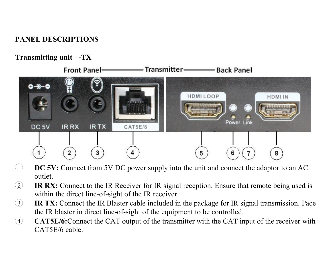## **PANEL DESCRIPTIONS**

## **Transmitting unit** - **-TX**



- 1 **DC 5V:** Connect from 5V DC power supply into the unit and connect the adaptor to an AC outlet.
- 2 **IR RX:** Connect to the IR Receiver for IR signal reception. Ensure that remote being used is within the direct line-of-sight of the IR receiver.
- 3 **IR TX:** Connect the IR Blaster cable included in the package for IR signal transmission. Pace the IR blaster in direct line-of-sight of the equipment to be controlled.
- 4 **CAT5E/6:**Connect the CAT output of the transmitter with the CAT input of the receiver with CAT5E/6 cable.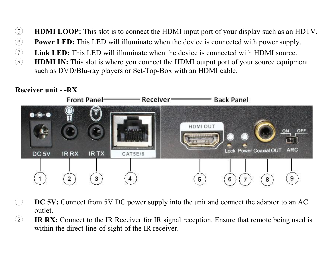- 5 **HDMI LOOP:** This slot is to connect the HDMI input port of your display such as an HDTV.
	-
- **6 Power LED:** This LED will illuminate when the device is connected with power supply.<br> **C** Link LED: This LED will illuminate when the device is connected with HDMI source.<br> **EDMI IN:** This slot is where you connect the 7 **Link LED:** This LED will illuminate when the device is connected with HDMI source.
	- 8 **HDMI IN:** This slot is where you connect the HDMI output port of your source equipment such as DVD/Blu-ray players or Set-Top-Box with an HDMI cable.

# **Receiver unit** - **-RX**



- 1 **DC 5V:** Connect from 5V DC power supply into the unit and connect the adaptor to an AC outlet.
- 2 **IR RX:** Connect to the IR Receiver for IR signal reception. Ensure that remote being used is within the direct line-of-sight of the IR receiver.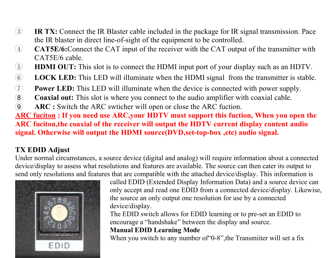- 3 **IR TX:** Connect the IR Blaster cable included in the package for IR signal transmission. Pace the IR blaster in direct line-of-sight of the equipment to be controlled.
- 4 **CAT5E/6:**Connect the CAT input of the receiver with the CAT output of the transmitter with CAT5E/6 cable.
- 5 **HDMI OUT:** This slot is to connect the HDMI input port of your display such as an HDTV.
- 6 **LOCK LED:** This LED will illuminate when the HDMI signal from the transmitter is stable.<br> **Coaxial out:** This LED will illuminate when the device is connected with power supply.<br> **(8) Coaxial out:** This slot is where
- **Power LED:** This LED will illuminate when the device is connected with power supply.
- 8 **Coaxial out:** This slot is where you connect to the audio amplifier with coaxial cable.
- 9 **ARC :** Switch the ARC swticher will open or close the ARC fuction.

**ARC fuciton: If you need use ARC,your HDTV must support this fuction, When you open the ARC fuciton,the coaxialof the receiver will output the HDTV current display content audio signal. Otherwise will output the HDMI source(DVD,set-top-box ,etc) audio signal.**

# **TX EDID Adjust**

Under normal circumstances, a source device (digital and analog) will require information about a connected device/display to assess what resolutions and features are available. The source can then cater its output to send only resolutions and features that are compatible with the attached device/display. This information is



called EDID (Extended Display Information Data) and a source device can only accept and read one EDID from a connected device/display. Likewise, the source an only output one resolution for use by a connected device/display.

The EDID switch allows for EDID learning or to pre-set an EDID to encourage a "handshake" between the display and source.

## **Manual EDID LearningMode**

When you switch to any number of '0-8", the Transmiiter will set a fix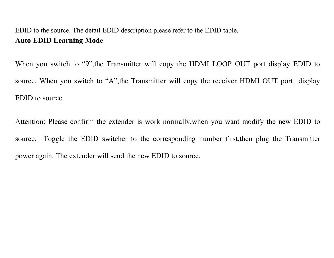# EDID to the source. The detail EDID description please refer to the EDID table. **Auto EDID Learning Mode**

When you switch to "9", the Transmitter will copy the HDMI LOOP OUT port display EDID to source, When you switch to "A",the Transmitter will copy the receiver HDMI OUT port display EDID to source.

Attention: Please confirm the extender is work normally,when you wantmodify the new EDID to source, Toggle the EDID switcher to the corresponding number first,then plug the Transmitter power again. The extender will send the new EDID to source.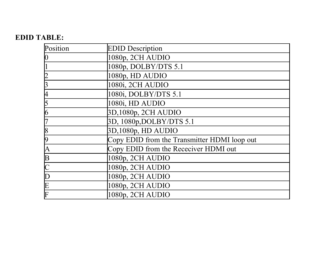# **EDID TABLE:**

| Position                | <b>EDID</b> Description                      |  |
|-------------------------|----------------------------------------------|--|
| 0                       | 1080p, 2CH AUDIO                             |  |
|                         | 1080p, DOLBY/DTS 5.1                         |  |
|                         | 1080p, HD AUDIO                              |  |
| 3                       | 1080i, 2CH AUDIO                             |  |
| 4                       | 1080i, DOLBY/DTS 5.1                         |  |
| 5                       | 1080i. HD AUDIO                              |  |
| 6                       | 3D, 1080p, 2CH AUDIO                         |  |
|                         | 3D, 1080p, DOLBY/DTS 5.1                     |  |
| 8                       | 3D, 1080p, HD AUDIO                          |  |
| 9                       | Copy EDID from the Transmitter HDMI loop out |  |
| A                       | Copy EDID from the Receciver HDMI out        |  |
| $\overline{\mathbf{B}}$ | 1080p, 2CH AUDIO                             |  |
| $\overline{\rm c}$      | 1080p, 2CH AUDIO                             |  |
| D                       | 1080p, 2CH AUDIO                             |  |
| $\frac{E}{F}$           | 1080p, 2CH AUDIO                             |  |
|                         | 1080p, 2CH AUDIO                             |  |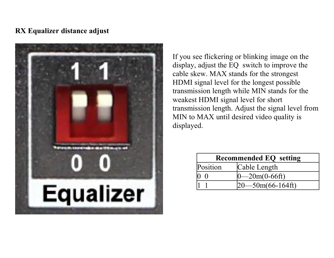#### **RX Equalizer distance adjust**



If you see flickering or blinking image on the display, adjust the EQ switch to improve the cable skew. MAX stands for the strongest HDMI signal level for the longest possible transmission length while MIN stands for the weakest HDMI signal level for short transmission length. Adjust the signal level from MIN to MAX until desired video quality is displayed.

| <b>Recommended EO</b> setting |                  |
|-------------------------------|------------------|
| Position                      | Cable Length     |
|                               | $-20m(0-66ft)$   |
|                               | $-50m(66-164ft)$ |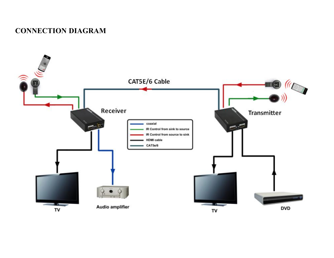# **CONNECTION DIAGRAM**

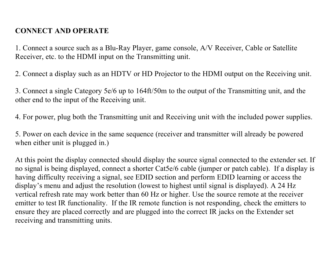# **CONNECT AND OPERATE**

1. Connect a source such as a Blu-Ray Player, game console,A/V Receiver, Cable or Satellite Receiver, etc. to the HDMI input on the Transmitting unit.

2. Connect a display such as an HDTV or HD Projector to the HDMI output on the Receiving unit.

3. Connect a single Category 5e/6 up to 164ft/50m to the output of the Transmitting unit, and the other end to the input of the Receiving unit.

4. For power, plug both the Transmitting unit and Receiving unit with the included power supplies.

5. Power on each device in the same sequence (receiver and transmitter will already be powered when either unit is plugged in.)

At this point the display connected should display the source signal connected to the extender set.If no signal is being displayed, connect a shorter Cat5e/6 cable (jumper or patch cable). If a display is having difficulty receiving a signal, see EDID section and perform EDID learning or access the display's menu and adjust the resolution (lowest to highest until signal is displayed). A 24 Hz vertical refresh rate may work better than 60 Hz or higher. Use the source remote at the receiver emitter to test IR functionality. If the IR remote function is not responding, check the emitters to ensure they are placed correctly and are plugged into the correct IR jacks on the Extender set receiving and transmitting units.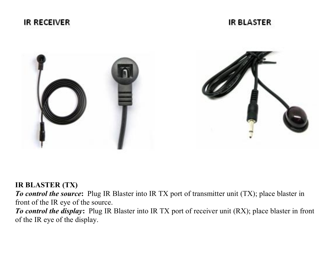

IR BI ASTER



### **IR BLASTER (TX)**

*To control the source***:** Plug IR Blaster into IR TX port of transmitter unit (TX); place blaster in front of the IR eye of the source.

*To control the display***:** Plug IR Blaster into IR TX port of receiver unit (RX); place blaster in front of the IR eye of the display.